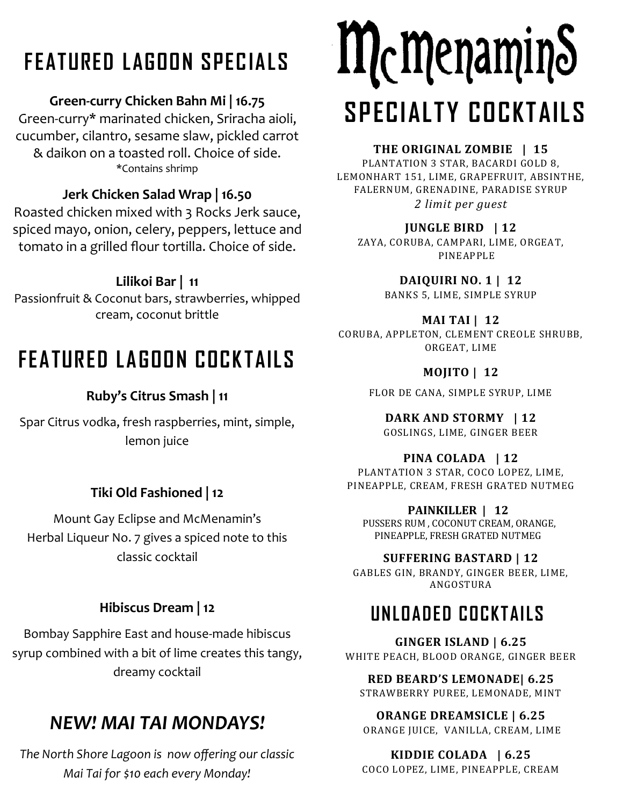# **FEATURED LAGOON SPECIALS**

#### **Green-curry Chicken Bahn Mi | 16.75**

Green-curry\* marinated chicken, Sriracha aioli, cucumber, cilantro, sesame slaw, pickled carrot & daikon on a toasted roll. Choice of side. \*Contains shrimp

#### **Jerk Chicken Salad Wrap | 16.50**

Roasted chicken mixed with 3 Rocks Jerk sauce, spiced mayo, onion, celery, peppers, lettuce and tomato in a grilled flour tortilla. Choice of side.

#### **Lilikoi Bar | 11**

Passionfruit & Coconut bars, strawberries, whipped cream, coconut brittle

## **FEATURED LAGOON COCKTAILS**

#### **Ruby's Citrus Smash | 11**

Spar Citrus vodka, fresh raspberries, mint, simple, lemon juice

#### **Tiki Old Fashioned | 12**

Mount Gay Eclipse and McMenamin's Herbal Liqueur No. 7 gives a spiced note to this classic cocktail

#### **Hibiscus Dream | 12**

Bombay Sapphire East and house-made hibiscus syrup combined with a bit of lime creates this tangy, dreamy cocktail

## *NEW! MAI TAI MONDAYS!*

*The North Shore Lagoon is now offering our classic Mai Tai for \$10 each every Monday!*

# McMenaminS **SPECIALTY COCKTAILS**

#### **THE ORIGINAL ZOMBIE | 15**

PLANTATION 3 STAR, BACARDI GOLD 8, LEMONHART 151, LIME, GRAPEFRUIT, ABSINTHE, FALERNUM, GRENADINE, PARADISE SYRUP *2 limit per guest*

#### **JUNGLE BIRD | 12**

ZAYA, CORUBA, CAMPARI, LIME, ORGEAT, PINEAPPLE

**DAIQUIRI NO. 1 | 12**

BANKS 5, LIME, SIMPLE SYRUP

#### **MAI TAI | 12**

CORUBA, APPLETON, CLEMENT CREOLE SHRUBB, ORGEAT, LIME

#### **MOJITO | 12**

FLOR DE CANA, SIMPLE SYRUP, LIME

**DARK AND STORMY | 12** GOSLINGS, LIME, GINGER BEER

#### **PINA COLADA | 12**

PLANTATION 3 STAR, COCO LOPEZ, LIME, PINEAPPLE, CREAM, FRESH GRATED NUTMEG

#### **PAINKILLER | 12**

PUSSERS RUM , COCONUT CREAM, ORANGE, PINEAPPLE, FRESH GRATED NUTMEG

#### **SUFFERING BASTARD | 12**

GABLES GIN, BRANDY, GINGER BEER, LIME, ANGOSTURA

## **UNLOADED COCKTAILS**

**GINGER ISLAND | 6.25** WHITE PEACH, BLOOD ORANGE, GINGER BEER

**RED BEARD'S LEMONADE| 6.25** STRAWBERRY PUREE, LEMONADE, MINT

**ORANGE DREAMSICLE | 6.25** ORANGE JUICE, VANILLA, CREAM, LIME

### **KIDDIE COLADA | 6.25**

COCO LOPEZ, LIME, PINEAPPLE, CREAM